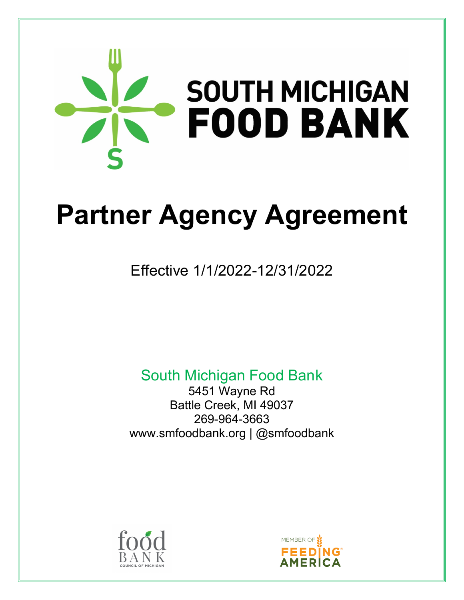

# **Partner Agency Agreement**

# Effective 1/1/2022-12/31/2022

South Michigan Food Bank

5451 Wayne Rd Battle Creek, MI 49037 269-964-3663 www.smfoodbank.org | @smfoodbank



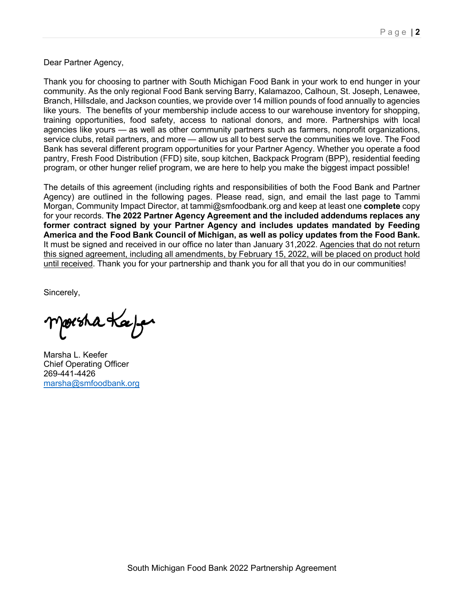Dear Partner Agency,

Thank you for choosing to partner with South Michigan Food Bank in your work to end hunger in your community. As the only regional Food Bank serving Barry, Kalamazoo, Calhoun, St. Joseph, Lenawee, Branch, Hillsdale, and Jackson counties, we provide over 14 million pounds of food annually to agencies like yours. The benefits of your membership include access to our warehouse inventory for shopping, training opportunities, food safety, access to national donors, and more. Partnerships with local agencies like yours — as well as other community partners such as farmers, nonprofit organizations, service clubs, retail partners, and more — allow us all to best serve the communities we love. The Food Bank has several different program opportunities for your Partner Agency. Whether you operate a food pantry, Fresh Food Distribution (FFD) site, soup kitchen, Backpack Program (BPP), residential feeding program, or other hunger relief program, we are here to help you make the biggest impact possible!

The details of this agreement (including rights and responsibilities of both the Food Bank and Partner Agency) are outlined in the following pages. Please read, sign, and email the last page to Tammi Morgan, Community Impact Director, at tammi@smfoodbank.org and keep at least one **complete** copy for your records. **The 2022 Partner Agency Agreement and the included addendums replaces any former contract signed by your Partner Agency and includes updates mandated by Feeding America and the Food Bank Council of Michigan, as well as policy updates from the Food Bank.** It must be signed and received in our office no later than January 31,2022. Agencies that do not return this signed agreement, including all amendments, by February 15, 2022, will be placed on product hold until received. Thank you for your partnership and thank you for all that you do in our communities!

Sincerely,

porska Kæjer

Marsha L. Keefer Chief Operating Officer 269-441-4426 marsha@smfoodbank.org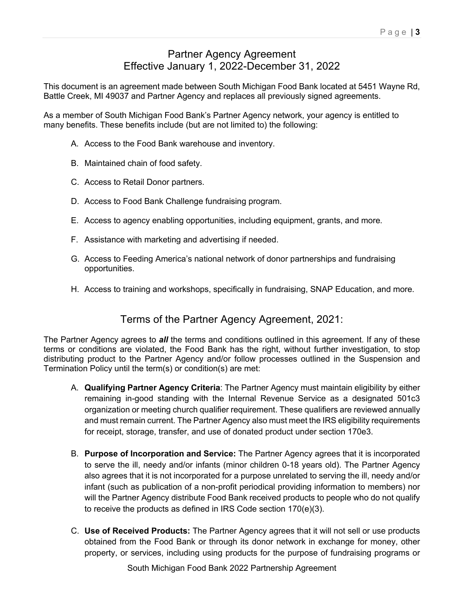#### Partner Agency Agreement Effective January 1, 2022-December 31, 2022

This document is an agreement made between South Michigan Food Bank located at 5451 Wayne Rd, Battle Creek, MI 49037 and Partner Agency and replaces all previously signed agreements.

As a member of South Michigan Food Bank's Partner Agency network, your agency is entitled to many benefits. These benefits include (but are not limited to) the following:

- A. Access to the Food Bank warehouse and inventory.
- B. Maintained chain of food safety.
- C. Access to Retail Donor partners.
- D. Access to Food Bank Challenge fundraising program.
- E. Access to agency enabling opportunities, including equipment, grants, and more.
- F. Assistance with marketing and advertising if needed.
- G. Access to Feeding America's national network of donor partnerships and fundraising opportunities.
- H. Access to training and workshops, specifically in fundraising, SNAP Education, and more.

#### Terms of the Partner Agency Agreement, 2021:

The Partner Agency agrees to *all* the terms and conditions outlined in this agreement. If any of these terms or conditions are violated, the Food Bank has the right, without further investigation, to stop distributing product to the Partner Agency and/or follow processes outlined in the Suspension and Termination Policy until the term(s) or condition(s) are met:

- A. **Qualifying Partner Agency Criteria**: The Partner Agency must maintain eligibility by either remaining in-good standing with the Internal Revenue Service as a designated 501c3 organization or meeting church qualifier requirement. These qualifiers are reviewed annually and must remain current. The Partner Agency also must meet the IRS eligibility requirements for receipt, storage, transfer, and use of donated product under section 170e3.
- B. **Purpose of Incorporation and Service:** The Partner Agency agrees that it is incorporated to serve the ill, needy and/or infants (minor children 0-18 years old). The Partner Agency also agrees that it is not incorporated for a purpose unrelated to serving the ill, needy and/or infant (such as publication of a non-profit periodical providing information to members) nor will the Partner Agency distribute Food Bank received products to people who do not qualify to receive the products as defined in IRS Code section 170(e)(3).
- C. **Use of Received Products:** The Partner Agency agrees that it will not sell or use products obtained from the Food Bank or through its donor network in exchange for money, other property, or services, including using products for the purpose of fundraising programs or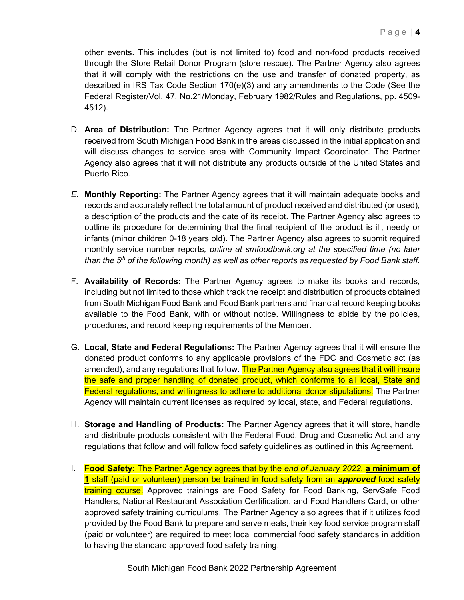other events. This includes (but is not limited to) food and non-food products received through the Store Retail Donor Program (store rescue). The Partner Agency also agrees that it will comply with the restrictions on the use and transfer of donated property, as described in IRS Tax Code Section 170(e)(3) and any amendments to the Code (See the Federal Register/Vol. 47, No.21/Monday, February 1982/Rules and Regulations, pp. 4509- 4512).

- D. **Area of Distribution:** The Partner Agency agrees that it will only distribute products received from South Michigan Food Bank in the areas discussed in the initial application and will discuss changes to service area with Community Impact Coordinator. The Partner Agency also agrees that it will not distribute any products outside of the United States and Puerto Rico.
- *E.* **Monthly Reporting:** The Partner Agency agrees that it will maintain adequate books and records and accurately reflect the total amount of product received and distributed (or used), a description of the products and the date of its receipt. The Partner Agency also agrees to outline its procedure for determining that the final recipient of the product is ill, needy or infants (minor children 0-18 years old). The Partner Agency also agrees to submit required monthly service number reports*, online at smfoodbank.org at the specified time (no later than the 5th of the following month) as well as other reports as requested by Food Bank staff.*
- F. **Availability of Records:** The Partner Agency agrees to make its books and records, including but not limited to those which track the receipt and distribution of products obtained from South Michigan Food Bank and Food Bank partners and financial record keeping books available to the Food Bank, with or without notice. Willingness to abide by the policies, procedures, and record keeping requirements of the Member.
- G. **Local, State and Federal Regulations:** The Partner Agency agrees that it will ensure the donated product conforms to any applicable provisions of the FDC and Cosmetic act (as amended), and any regulations that follow. The Partner Agency also agrees that it will insure the safe and proper handling of donated product, which conforms to all local, State and Federal regulations, and willingness to adhere to additional donor stipulations. The Partner Agency will maintain current licenses as required by local, state, and Federal regulations.
- H. **Storage and Handling of Products:** The Partner Agency agrees that it will store, handle and distribute products consistent with the Federal Food, Drug and Cosmetic Act and any regulations that follow and will follow food safety guidelines as outlined in this Agreement.
- I. **Food Safety:** The Partner Agency agrees that by the *end of January 2022*, **a minimum of 1** staff (paid or volunteer) person be trained in food safety from an *approved* food safety training course. Approved trainings are Food Safety for Food Banking, ServSafe Food Handlers, National Restaurant Association Certification, and Food Handlers Card, or other approved safety training curriculums. The Partner Agency also agrees that if it utilizes food provided by the Food Bank to prepare and serve meals, their key food service program staff (paid or volunteer) are required to meet local commercial food safety standards in addition to having the standard approved food safety training.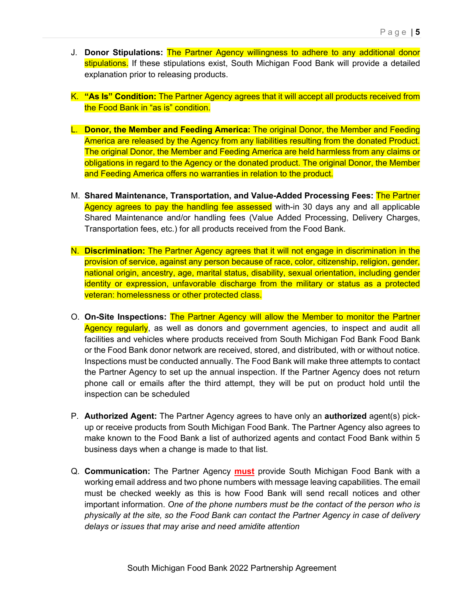- J. **Donor Stipulations:** The Partner Agency willingness to adhere to any additional donor stipulations. If these stipulations exist, South Michigan Food Bank will provide a detailed explanation prior to releasing products.
- K. **"As Is" Condition:** The Partner Agency agrees that it will accept all products received from the Food Bank in "as is" condition.
- L. **Donor, the Member and Feeding America:** The original Donor, the Member and Feeding America are released by the Agency from any liabilities resulting from the donated Product. The original Donor, the Member and Feeding America are held harmless from any claims or obligations in regard to the Agency or the donated product. The original Donor, the Member and Feeding America offers no warranties in relation to the product.
- M. **Shared Maintenance, Transportation, and Value-Added Processing Fees:** The Partner Agency agrees to pay the handling fee assessed with-in 30 days any and all applicable Shared Maintenance and/or handling fees (Value Added Processing, Delivery Charges, Transportation fees, etc.) for all products received from the Food Bank.
- N. **Discrimination:** The Partner Agency agrees that it will not engage in discrimination in the provision of service, against any person because of race, color, citizenship, religion, gender, national origin, ancestry, age, marital status, disability, sexual orientation, including gender identity or expression, unfavorable discharge from the military or status as a protected veteran: homelessness or other protected class.
- O. **On-Site Inspections:** The Partner Agency will allow the Member to monitor the Partner Agency regularly, as well as donors and government agencies, to inspect and audit all facilities and vehicles where products received from South Michigan Fod Bank Food Bank or the Food Bank donor network are received, stored, and distributed, with or without notice. Inspections must be conducted annually. The Food Bank will make three attempts to contact the Partner Agency to set up the annual inspection. If the Partner Agency does not return phone call or emails after the third attempt, they will be put on product hold until the inspection can be scheduled
- P. **Authorized Agent:** The Partner Agency agrees to have only an **authorized** agent(s) pickup or receive products from South Michigan Food Bank. The Partner Agency also agrees to make known to the Food Bank a list of authorized agents and contact Food Bank within 5 business days when a change is made to that list.
- Q. **Communication:** The Partner Agency **must** provide South Michigan Food Bank with a working email address and two phone numbers with message leaving capabilities. The email must be checked weekly as this is how Food Bank will send recall notices and other important information. *One of the phone numbers must be the contact of the person who is physically at the site, so the Food Bank can contact the Partner Agency in case of delivery delays or issues that may arise and need amidite attention*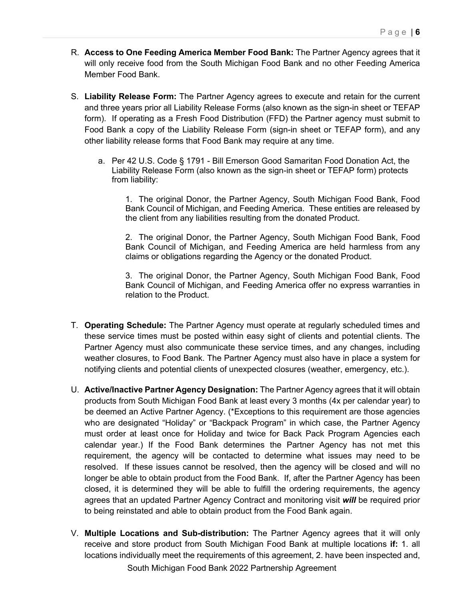- R. **Access to One Feeding America Member Food Bank:** The Partner Agency agrees that it will only receive food from the South Michigan Food Bank and no other Feeding America Member Food Bank.
- S. **Liability Release Form:** The Partner Agency agrees to execute and retain for the current and three years prior all Liability Release Forms (also known as the sign-in sheet or TEFAP form). If operating as a Fresh Food Distribution (FFD) the Partner agency must submit to Food Bank a copy of the Liability Release Form (sign-in sheet or TEFAP form), and any other liability release forms that Food Bank may require at any time.
	- a. Per 42 U.S. Code § 1791 Bill Emerson Good Samaritan Food Donation Act, the Liability Release Form (also known as the sign-in sheet or TEFAP form) protects from liability:

1. The original Donor, the Partner Agency, South Michigan Food Bank, Food Bank Council of Michigan, and Feeding America. These entities are released by the client from any liabilities resulting from the donated Product.

2. The original Donor, the Partner Agency, South Michigan Food Bank, Food Bank Council of Michigan, and Feeding America are held harmless from any claims or obligations regarding the Agency or the donated Product.

3. The original Donor, the Partner Agency, South Michigan Food Bank, Food Bank Council of Michigan, and Feeding America offer no express warranties in relation to the Product.

- T. **Operating Schedule:** The Partner Agency must operate at regularly scheduled times and these service times must be posted within easy sight of clients and potential clients. The Partner Agency must also communicate these service times, and any changes, including weather closures, to Food Bank. The Partner Agency must also have in place a system for notifying clients and potential clients of unexpected closures (weather, emergency, etc.).
- U. **Active/Inactive Partner Agency Designation:** The Partner Agency agrees that it will obtain products from South Michigan Food Bank at least every 3 months (4x per calendar year) to be deemed an Active Partner Agency. (\*Exceptions to this requirement are those agencies who are designated "Holiday" or "Backpack Program" in which case, the Partner Agency must order at least once for Holiday and twice for Back Pack Program Agencies each calendar year.) If the Food Bank determines the Partner Agency has not met this requirement, the agency will be contacted to determine what issues may need to be resolved. If these issues cannot be resolved, then the agency will be closed and will no longer be able to obtain product from the Food Bank. If, after the Partner Agency has been closed, it is determined they will be able to fulfill the ordering requirements, the agency agrees that an updated Partner Agency Contract and monitoring visit *will* be required prior to being reinstated and able to obtain product from the Food Bank again.
- V. **Multiple Locations and Sub-distribution:** The Partner Agency agrees that it will only receive and store product from South Michigan Food Bank at multiple locations **if:** 1. all locations individually meet the requirements of this agreement, 2. have been inspected and,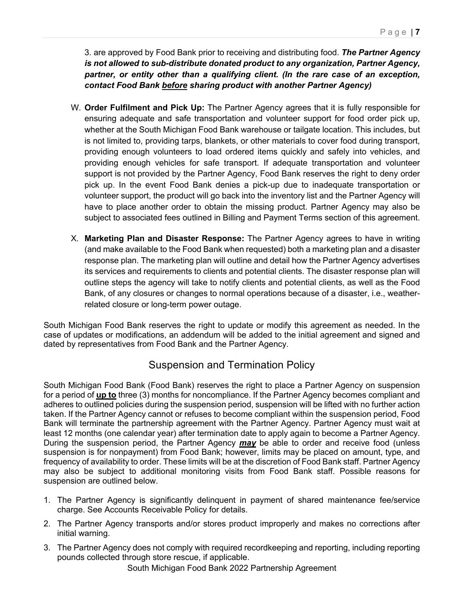3. are approved by Food Bank prior to receiving and distributing food. *The Partner Agency is not allowed to sub-distribute donated product to any organization, Partner Agency, partner, or entity other than a qualifying client. (In the rare case of an exception, contact Food Bank before sharing product with another Partner Agency)*

- W. **Order Fulfilment and Pick Up:** The Partner Agency agrees that it is fully responsible for ensuring adequate and safe transportation and volunteer support for food order pick up, whether at the South Michigan Food Bank warehouse or tailgate location. This includes, but is not limited to, providing tarps, blankets, or other materials to cover food during transport, providing enough volunteers to load ordered items quickly and safely into vehicles, and providing enough vehicles for safe transport. If adequate transportation and volunteer support is not provided by the Partner Agency, Food Bank reserves the right to deny order pick up. In the event Food Bank denies a pick-up due to inadequate transportation or volunteer support, the product will go back into the inventory list and the Partner Agency will have to place another order to obtain the missing product. Partner Agency may also be subject to associated fees outlined in Billing and Payment Terms section of this agreement.
- X. **Marketing Plan and Disaster Response:** The Partner Agency agrees to have in writing (and make available to the Food Bank when requested) both a marketing plan and a disaster response plan. The marketing plan will outline and detail how the Partner Agency advertises its services and requirements to clients and potential clients. The disaster response plan will outline steps the agency will take to notify clients and potential clients, as well as the Food Bank, of any closures or changes to normal operations because of a disaster, i.e., weatherrelated closure or long-term power outage.

South Michigan Food Bank reserves the right to update or modify this agreement as needed. In the case of updates or modifications, an addendum will be added to the initial agreement and signed and dated by representatives from Food Bank and the Partner Agency.

#### Suspension and Termination Policy

South Michigan Food Bank (Food Bank) reserves the right to place a Partner Agency on suspension for a period of **up to** three (3) months for noncompliance. If the Partner Agency becomes compliant and adheres to outlined policies during the suspension period, suspension will be lifted with no further action taken. If the Partner Agency cannot or refuses to become compliant within the suspension period, Food Bank will terminate the partnership agreement with the Partner Agency. Partner Agency must wait at least 12 months (one calendar year) after termination date to apply again to become a Partner Agency. During the suspension period, the Partner Agency *may* be able to order and receive food (unless suspension is for nonpayment) from Food Bank; however, limits may be placed on amount, type, and frequency of availability to order. These limits will be at the discretion of Food Bank staff. Partner Agency may also be subject to additional monitoring visits from Food Bank staff. Possible reasons for suspension are outlined below.

- 1. The Partner Agency is significantly delinquent in payment of shared maintenance fee/service charge. See Accounts Receivable Policy for details.
- 2. The Partner Agency transports and/or stores product improperly and makes no corrections after initial warning.
- 3. The Partner Agency does not comply with required recordkeeping and reporting, including reporting pounds collected through store rescue, if applicable.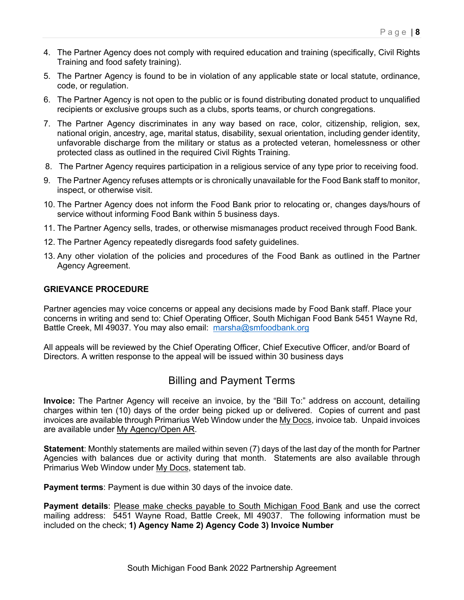- 4. The Partner Agency does not comply with required education and training (specifically, Civil Rights Training and food safety training).
- 5. The Partner Agency is found to be in violation of any applicable state or local statute, ordinance, code, or regulation.
- 6. The Partner Agency is not open to the public or is found distributing donated product to unqualified recipients or exclusive groups such as a clubs, sports teams, or church congregations.
- 7. The Partner Agency discriminates in any way based on race, color, citizenship, religion, sex, national origin, ancestry, age, marital status, disability, sexual orientation, including gender identity, unfavorable discharge from the military or status as a protected veteran, homelessness or other protected class as outlined in the required Civil Rights Training.
- 8. The Partner Agency requires participation in a religious service of any type prior to receiving food.
- 9. The Partner Agency refuses attempts or is chronically unavailable for the Food Bank staff to monitor, inspect, or otherwise visit.
- 10. The Partner Agency does not inform the Food Bank prior to relocating or, changes days/hours of service without informing Food Bank within 5 business days.
- 11. The Partner Agency sells, trades, or otherwise mismanages product received through Food Bank.
- 12. The Partner Agency repeatedly disregards food safety guidelines.
- 13. Any other violation of the policies and procedures of the Food Bank as outlined in the Partner Agency Agreement.

#### **GRIEVANCE PROCEDURE**

Partner agencies may voice concerns or appeal any decisions made by Food Bank staff. Place your concerns in writing and send to: Chief Operating Officer, South Michigan Food Bank 5451 Wayne Rd, Battle Creek, MI 49037. You may also email: marsha@smfoodbank.org

All appeals will be reviewed by the Chief Operating Officer, Chief Executive Officer, and/or Board of Directors. A written response to the appeal will be issued within 30 business days

#### Billing and Payment Terms

**Invoice:** The Partner Agency will receive an invoice, by the "Bill To:" address on account, detailing charges within ten (10) days of the order being picked up or delivered. Copies of current and past invoices are available through Primarius Web Window under the My Docs, invoice tab. Unpaid invoices are available under My Agency/Open AR.

**Statement**: Monthly statements are mailed within seven (7) days of the last day of the month for Partner Agencies with balances due or activity during that month. Statements are also available through Primarius Web Window under My Docs, statement tab.

**Payment terms**: Payment is due within 30 days of the invoice date.

**Payment details**: Please make checks payable to South Michigan Food Bank and use the correct mailing address: 5451 Wayne Road, Battle Creek, MI 49037. The following information must be included on the check; **1) Agency Name 2) Agency Code 3) Invoice Number**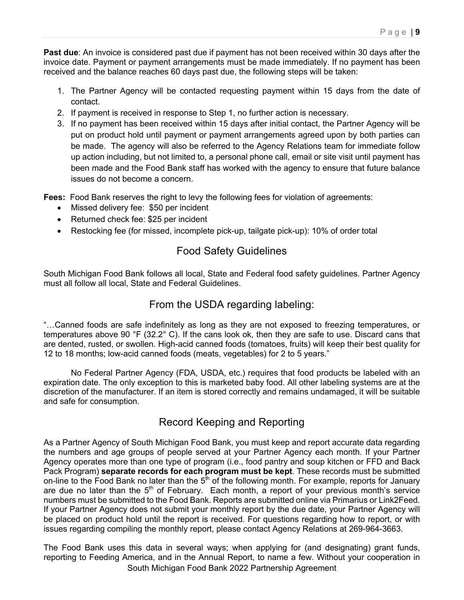**Past due**: An invoice is considered past due if payment has not been received within 30 days after the invoice date. Payment or payment arrangements must be made immediately. If no payment has been received and the balance reaches 60 days past due, the following steps will be taken:

- 1. The Partner Agency will be contacted requesting payment within 15 days from the date of contact.
- 2. If payment is received in response to Step 1, no further action is necessary.
- 3. If no payment has been received within 15 days after initial contact, the Partner Agency will be put on product hold until payment or payment arrangements agreed upon by both parties can be made. The agency will also be referred to the Agency Relations team for immediate follow up action including, but not limited to, a personal phone call, email or site visit until payment has been made and the Food Bank staff has worked with the agency to ensure that future balance issues do not become a concern.

**Fees:** Food Bank reserves the right to levy the following fees for violation of agreements:

- Missed delivery fee: \$50 per incident
- Returned check fee: \$25 per incident
- Restocking fee (for missed, incomplete pick-up, tailgate pick-up): 10% of order total

#### Food Safety Guidelines

South Michigan Food Bank follows all local, State and Federal food safety guidelines. Partner Agency must all follow all local, State and Federal Guidelines.

#### From the USDA regarding labeling:

"…Canned foods are safe indefinitely as long as they are not exposed to freezing temperatures, or temperatures above 90 °F (32.2° C). If the cans look ok, then they are safe to use. Discard cans that are dented, rusted, or swollen. High-acid canned foods (tomatoes, fruits) will keep their best quality for 12 to 18 months; low-acid canned foods (meats, vegetables) for 2 to 5 years."

No Federal Partner Agency (FDA, USDA, etc.) requires that food products be labeled with an expiration date. The only exception to this is marketed baby food. All other labeling systems are at the discretion of the manufacturer. If an item is stored correctly and remains undamaged, it will be suitable and safe for consumption.

## Record Keeping and Reporting

As a Partner Agency of South Michigan Food Bank, you must keep and report accurate data regarding the numbers and age groups of people served at your Partner Agency each month. If your Partner Agency operates more than one type of program (i.e., food pantry and soup kitchen or FFD and Back Pack Program) **separate records for each program must be kept**. These records must be submitted on-line to the Food Bank no later than the 5<sup>th</sup> of the following month. For example, reports for January are due no later than the  $5<sup>th</sup>$  of February. Each month, a report of your previous month's service numbers must be submitted to the Food Bank. Reports are submitted online via Primarius or Link2Feed. If your Partner Agency does not submit your monthly report by the due date, your Partner Agency will be placed on product hold until the report is received. For questions regarding how to report, or with issues regarding compiling the monthly report, please contact Agency Relations at 269-964-3663.

South Michigan Food Bank 2022 Partnership Agreement The Food Bank uses this data in several ways; when applying for (and designating) grant funds, reporting to Feeding America, and in the Annual Report, to name a few. Without your cooperation in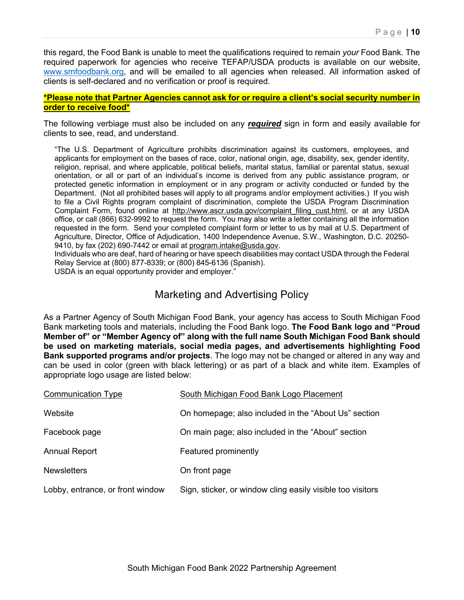this regard, the Food Bank is unable to meet the qualifications required to remain *your* Food Bank. The required paperwork for agencies who receive TEFAP/USDA products is available on our website, www.smfoodbank.org, and will be emailed to all agencies when released. All information asked of clients is self-declared and no verification or proof is required.

#### **\*Please note that Partner Agencies cannot ask for or require a client's social security number in order to receive food\***

The following verbiage must also be included on any *required* sign in form and easily available for clients to see, read, and understand.

"The U.S. Department of Agriculture prohibits discrimination against its customers, employees, and applicants for employment on the bases of race, color, national origin, age, disability, sex, gender identity, religion, reprisal, and where applicable, political beliefs, marital status, familial or parental status, sexual orientation, or all or part of an individual's income is derived from any public assistance program, or protected genetic information in employment or in any program or activity conducted or funded by the Department. (Not all prohibited bases will apply to all programs and/or employment activities.) If you wish to file a Civil Rights program complaint of discrimination, complete the USDA Program Discrimination Complaint Form, found online at http://www.ascr.usda.gov/complaint\_filing\_cust.html, or at any USDA office, or call (866) 632-9992 to request the form. You may also write a letter containing all the information requested in the form. Send your completed complaint form or letter to us by mail at U.S. Department of Agriculture, Director, Office of Adjudication, 1400 Independence Avenue, S.W., Washington, D.C. 20250- 9410, by fax (202) 690-7442 or email at program.intake@usda.gov.

Individuals who are deaf, hard of hearing or have speech disabilities may contact USDA through the Federal Relay Service at (800) 877-8339; or (800) 845-6136 (Spanish).

USDA is an equal opportunity provider and employer."

#### Marketing and Advertising Policy

As a Partner Agency of South Michigan Food Bank, your agency has access to South Michigan Food Bank marketing tools and materials, including the Food Bank logo. **The Food Bank logo and "Proud Member of" or "Member Agency of" along with the full name South Michigan Food Bank should be used on marketing materials, social media pages, and advertisements highlighting Food Bank supported programs and/or projects**. The logo may not be changed or altered in any way and can be used in color (green with black lettering) or as part of a black and white item. Examples of appropriate logo usage are listed below:

| <b>Communication Type</b>        | South Michigan Food Bank Logo Placement                    |
|----------------------------------|------------------------------------------------------------|
| Website                          | On homepage; also included in the "About Us" section       |
| Facebook page                    | On main page; also included in the "About" section         |
| <b>Annual Report</b>             | Featured prominently                                       |
| <b>Newsletters</b>               | On front page                                              |
| Lobby, entrance, or front window | Sign, sticker, or window cling easily visible too visitors |